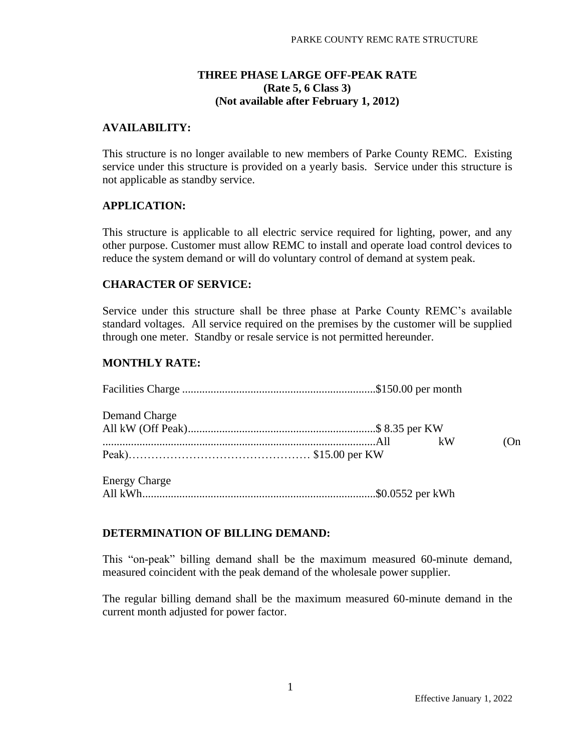### **THREE PHASE LARGE OFF-PEAK RATE (Rate 5, 6 Class 3) (Not available after February 1, 2012)**

### **AVAILABILITY:**

This structure is no longer available to new members of Parke County REMC. Existing service under this structure is provided on a yearly basis. Service under this structure is not applicable as standby service.

#### **APPLICATION:**

This structure is applicable to all electric service required for lighting, power, and any other purpose. Customer must allow REMC to install and operate load control devices to reduce the system demand or will do voluntary control of demand at system peak.

#### **CHARACTER OF SERVICE:**

Service under this structure shall be three phase at Parke County REMC's available standard voltages. All service required on the premises by the customer will be supplied through one meter. Standby or resale service is not permitted hereunder.

#### **MONTHLY RATE:**

| Demand Charge        |  |    |    |
|----------------------|--|----|----|
|                      |  |    |    |
|                      |  | kW | On |
|                      |  |    |    |
| <b>Energy Charge</b> |  |    |    |
|                      |  |    |    |

#### **DETERMINATION OF BILLING DEMAND:**

This "on-peak" billing demand shall be the maximum measured 60-minute demand, measured coincident with the peak demand of the wholesale power supplier.

The regular billing demand shall be the maximum measured 60-minute demand in the current month adjusted for power factor.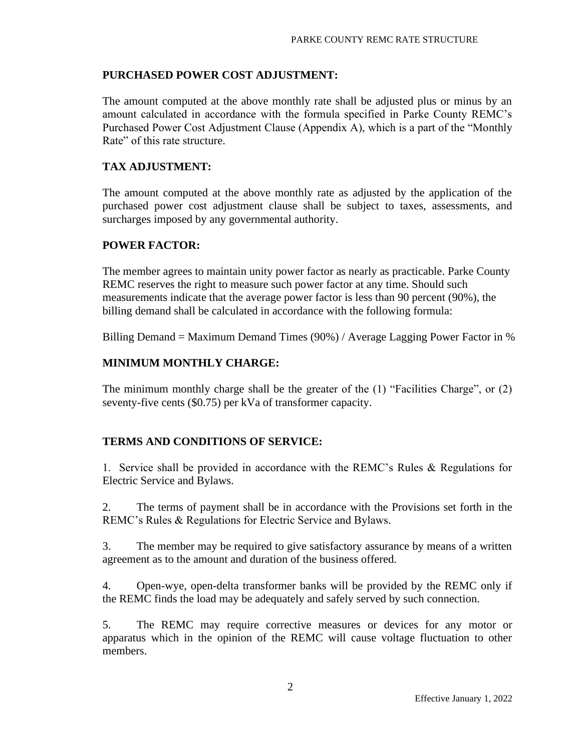# **PURCHASED POWER COST ADJUSTMENT:**

The amount computed at the above monthly rate shall be adjusted plus or minus by an amount calculated in accordance with the formula specified in Parke County REMC's Purchased Power Cost Adjustment Clause (Appendix A), which is a part of the "Monthly Rate" of this rate structure.

# **TAX ADJUSTMENT:**

The amount computed at the above monthly rate as adjusted by the application of the purchased power cost adjustment clause shall be subject to taxes, assessments, and surcharges imposed by any governmental authority.

# **POWER FACTOR:**

The member agrees to maintain unity power factor as nearly as practicable. Parke County REMC reserves the right to measure such power factor at any time. Should such measurements indicate that the average power factor is less than 90 percent (90%), the billing demand shall be calculated in accordance with the following formula:

Billing Demand = Maximum Demand Times (90%) / Average Lagging Power Factor in %

# **MINIMUM MONTHLY CHARGE:**

The minimum monthly charge shall be the greater of the (1) "Facilities Charge", or (2) seventy-five cents (\$0.75) per kVa of transformer capacity.

# **TERMS AND CONDITIONS OF SERVICE:**

1. Service shall be provided in accordance with the REMC's Rules & Regulations for Electric Service and Bylaws.

2. The terms of payment shall be in accordance with the Provisions set forth in the REMC's Rules & Regulations for Electric Service and Bylaws.

3. The member may be required to give satisfactory assurance by means of a written agreement as to the amount and duration of the business offered.

4. Open-wye, open-delta transformer banks will be provided by the REMC only if the REMC finds the load may be adequately and safely served by such connection.

5. The REMC may require corrective measures or devices for any motor or apparatus which in the opinion of the REMC will cause voltage fluctuation to other members.